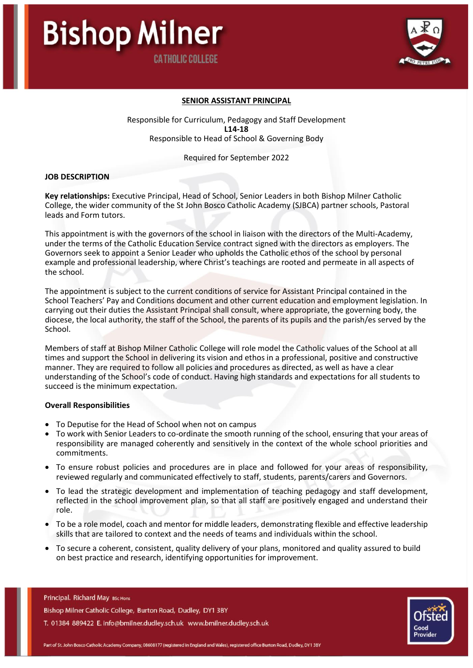

### **SENIOR ASSISTANT PRINCIPAL**

Responsible for Curriculum, Pedagogy and Staff Development **L14-18** Responsible to Head of School & Governing Body

Required for September 2022

#### **JOB DESCRIPTION**

**Key relationships:** Executive Principal, Head of School, Senior Leaders in both Bishop Milner Catholic College, the wider community of the St John Bosco Catholic Academy (SJBCA) partner schools, Pastoral leads and Form tutors.

This appointment is with the governors of the school in liaison with the directors of the Multi-Academy, under the terms of the Catholic Education Service contract signed with the directors as employers. The Governors seek to appoint a Senior Leader who upholds the Catholic ethos of the school by personal example and professional leadership, where Christ's teachings are rooted and permeate in all aspects of the school.

The appointment is subject to the current conditions of service for Assistant Principal contained in the School Teachers' Pay and Conditions document and other current education and employment legislation. In carrying out their duties the Assistant Principal shall consult, where appropriate, the governing body, the diocese, the local authority, the staff of the School, the parents of its pupils and the parish/es served by the School.

Members of staff at Bishop Milner Catholic College will role model the Catholic values of the School at all times and support the School in delivering its vision and ethos in a professional, positive and constructive manner. They are required to follow all policies and procedures as directed, as well as have a clear understanding of the School's code of conduct. Having high standards and expectations for all students to succeed is the minimum expectation.

#### **Overall Responsibilities**

- To Deputise for the Head of School when not on campus
- To work with Senior Leaders to co-ordinate the smooth running of the school, ensuring that your areas of responsibility are managed coherently and sensitively in the context of the whole school priorities and commitments.
- To ensure robust policies and procedures are in place and followed for your areas of responsibility, reviewed regularly and communicated effectively to staff, students, parents/carers and Governors.
- To lead the strategic development and implementation of teaching pedagogy and staff development, reflected in the school improvement plan, so that all staff are positively engaged and understand their role.
- To be a role model, coach and mentor for middle leaders, demonstrating flexible and effective leadership skills that are tailored to context and the needs of teams and individuals within the school.
- To secure a coherent, consistent, quality delivery of your plans, monitored and quality assured to build on best practice and research, identifying opportunities for improvement.

Principal. Richard May BSc Hons Bishop Milner Catholic College, Burton Road, Dudley, DY1 3BY T. 01384 889422 E. info@bmilner.dudley.sch.uk www.bmilner.dudley.sch.uk

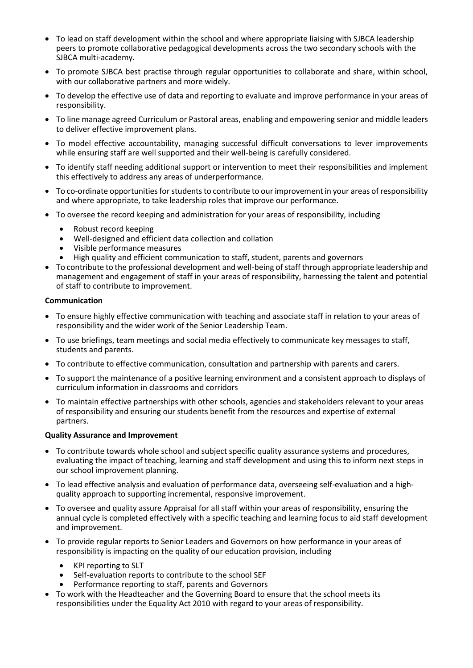- To lead on staff development within the school and where appropriate liaising with SJBCA leadership peers to promote collaborative pedagogical developments across the two secondary schools with the SJBCA multi-academy.
- To promote SJBCA best practise through regular opportunities to collaborate and share, within school, with our collaborative partners and more widely.
- To develop the effective use of data and reporting to evaluate and improve performance in your areas of responsibility.
- To line manage agreed Curriculum or Pastoral areas, enabling and empowering senior and middle leaders to deliver effective improvement plans.
- To model effective accountability, managing successful difficult conversations to lever improvements while ensuring staff are well supported and their well-being is carefully considered.
- To identify staff needing additional support or intervention to meet their responsibilities and implement this effectively to address any areas of underperformance.
- To co-ordinate opportunities for students to contribute to our improvement in your areas of responsibility and where appropriate, to take leadership roles that improve our performance.
- To oversee the record keeping and administration for your areas of responsibility, including
	- Robust record keeping
	- Well-designed and efficient data collection and collation
	- Visible performance measures
	- High quality and efficient communication to staff, student, parents and governors
- To contribute to the professional development and well-being of staff through appropriate leadership and management and engagement of staff in your areas of responsibility, harnessing the talent and potential of staff to contribute to improvement.

# **Communication**

- To ensure highly effective communication with teaching and associate staff in relation to your areas of responsibility and the wider work of the Senior Leadership Team.
- To use briefings, team meetings and social media effectively to communicate key messages to staff, students and parents.
- To contribute to effective communication, consultation and partnership with parents and carers.
- To support the maintenance of a positive learning environment and a consistent approach to displays of curriculum information in classrooms and corridors
- To maintain effective partnerships with other schools, agencies and stakeholders relevant to your areas of responsibility and ensuring our students benefit from the resources and expertise of external partners.

## **Quality Assurance and Improvement**

- To contribute towards whole school and subject specific quality assurance systems and procedures, evaluating the impact of teaching, learning and staff development and using this to inform next steps in our school improvement planning.
- To lead effective analysis and evaluation of performance data, overseeing self-evaluation and a highquality approach to supporting incremental, responsive improvement.
- To oversee and quality assure Appraisal for all staff within your areas of responsibility, ensuring the annual cycle is completed effectively with a specific teaching and learning focus to aid staff development and improvement.
- To provide regular reports to Senior Leaders and Governors on how performance in your areas of responsibility is impacting on the quality of our education provision, including
	- KPI reporting to SLT
	- Self-evaluation reports to contribute to the school SEF
	- Performance reporting to staff, parents and Governors
- To work with the Headteacher and the Governing Board to ensure that the school meets its responsibilities under the Equality Act 2010 with regard to your areas of responsibility.